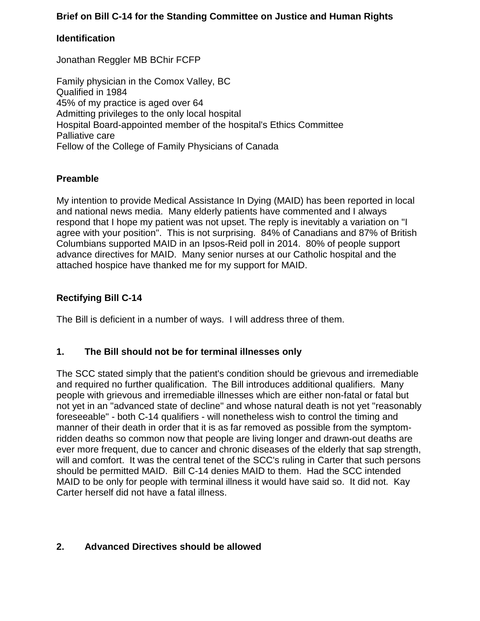# **Brief on Bill C-14 for the Standing Committee on Justice and Human Rights**

### **Identification**

Jonathan Reggler MB BChir FCFP

Family physician in the Comox Valley, BC Qualified in 1984 45% of my practice is aged over 64 Admitting privileges to the only local hospital Hospital Board-appointed member of the hospital's Ethics Committee Palliative care Fellow of the College of Family Physicians of Canada

#### **Preamble**

My intention to provide Medical Assistance In Dying (MAID) has been reported in local and national news media. Many elderly patients have commented and I always respond that I hope my patient was not upset. The reply is inevitably a variation on "I agree with your position". This is not surprising. 84% of Canadians and 87% of British Columbians supported MAID in an Ipsos-Reid poll in 2014. 80% of people support advance directives for MAID. Many senior nurses at our Catholic hospital and the attached hospice have thanked me for my support for MAID.

# **Rectifying Bill C-14**

The Bill is deficient in a number of ways. I will address three of them.

#### **1. The Bill should not be for terminal illnesses only**

The SCC stated simply that the patient's condition should be grievous and irremediable and required no further qualification. The Bill introduces additional qualifiers. Many people with grievous and irremediable illnesses which are either non-fatal or fatal but not yet in an "advanced state of decline" and whose natural death is not yet "reasonably foreseeable" - both C-14 qualifiers - will nonetheless wish to control the timing and manner of their death in order that it is as far removed as possible from the symptomridden deaths so common now that people are living longer and drawn-out deaths are ever more frequent, due to cancer and chronic diseases of the elderly that sap strength, will and comfort. It was the central tenet of the SCC's ruling in Carter that such persons should be permitted MAID. Bill C-14 denies MAID to them. Had the SCC intended MAID to be only for people with terminal illness it would have said so. It did not. Kay Carter herself did not have a fatal illness.

# **2. Advanced Directives should be allowed**